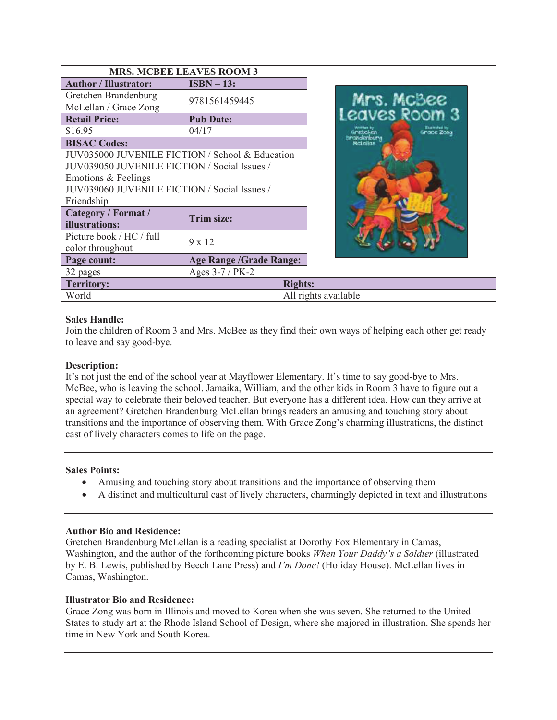| <b>MRS. MCBEE LEAVES ROOM 3</b>                                                                                                                                                      |                                |                         |                            |
|--------------------------------------------------------------------------------------------------------------------------------------------------------------------------------------|--------------------------------|-------------------------|----------------------------|
| <b>Author / Illustrator:</b>                                                                                                                                                         | $ISBN - 13:$                   |                         |                            |
| Gretchen Brandenburg<br>McLellan / Grace Zong                                                                                                                                        | 9781561459445                  |                         | Mrs. McBee<br>eaves Room 3 |
| <b>Retail Price:</b>                                                                                                                                                                 | <b>Pub Date:</b>               |                         |                            |
| \$16.95                                                                                                                                                                              | 04/17                          | Gretchen                | Grace Zone                 |
| <b>BISAC Codes:</b>                                                                                                                                                                  |                                | Brandenburg<br>McLellar |                            |
| JUV035000 JUVENILE FICTION / School & Education<br>JUV039050 JUVENILE FICTION / Social Issues /<br>Emotions & Feelings<br>JUV039060 JUVENILE FICTION / Social Issues /<br>Friendship |                                |                         |                            |
| Category / Format /<br>illustrations:                                                                                                                                                | <b>Trim size:</b>              |                         |                            |
| Picture book / HC / full<br>color throughout                                                                                                                                         | $9 \times 12$                  |                         |                            |
| Page count:                                                                                                                                                                          | <b>Age Range /Grade Range:</b> |                         |                            |
| 32 pages                                                                                                                                                                             | Ages 3-7 / PK-2                |                         |                            |
| <b>Territory:</b>                                                                                                                                                                    |                                | <b>Rights:</b>          |                            |
| World                                                                                                                                                                                |                                | All rights available    |                            |

## **Sales Handle:**

Join the children of Room 3 and Mrs. McBee as they find their own ways of helping each other get ready to leave and say good-bye.

# **Description:**

It's not just the end of the school year at Mayflower Elementary. It's time to say good-bye to Mrs. McBee, who is leaving the school. Jamaika, William, and the other kids in Room 3 have to figure out a special way to celebrate their beloved teacher. But everyone has a different idea. How can they arrive at an agreement? Gretchen Brandenburg McLellan brings readers an amusing and touching story about transitions and the importance of observing them. With Grace Zong's charming illustrations, the distinct cast of lively characters comes to life on the page.

#### **Sales Points:**

- · Amusing and touching story about transitions and the importance of observing them
- · A distinct and multicultural cast of lively characters, charmingly depicted in text and illustrations

#### **Author Bio and Residence:**

Gretchen Brandenburg McLellan is a reading specialist at Dorothy Fox Elementary in Camas, Washington, and the author of the forthcoming picture books *When Your Daddy's a Soldier* (illustrated by E. B. Lewis, published by Beech Lane Press) and *I'm Done!* (Holiday House). McLellan lives in Camas, Washington.

#### **Illustrator Bio and Residence:**

Grace Zong was born in Illinois and moved to Korea when she was seven. She returned to the United States to study art at the Rhode Island School of Design, where she majored in illustration. She spends her time in New York and South Korea.